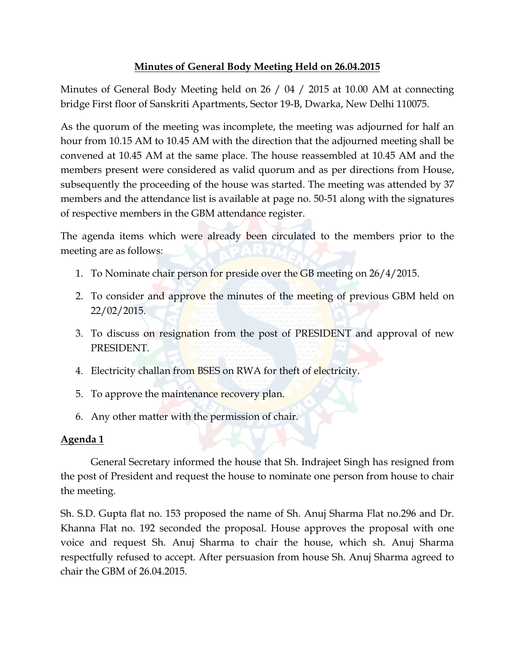## **Minutes of General Body Meeting Held on 26.04.2015**

Minutes of General Body Meeting held on 26 / 04 / 2015 at 10.00 AM at connecting bridge First floor of Sanskriti Apartments, Sector 19-B, Dwarka, New Delhi 110075.

As the quorum of the meeting was incomplete, the meeting was adjourned for half an hour from 10.15 AM to 10.45 AM with the direction that the adjourned meeting shall be convened at 10.45 AM at the same place. The house reassembled at 10.45 AM and the members present were considered as valid quorum and as per directions from House, subsequently the proceeding of the house was started. The meeting was attended by 37 members and the attendance list is available at page no. 50-51 along with the signatures of respective members in the GBM attendance register.

The agenda items which were already been circulated to the members prior to the meeting are as follows:

- 1. To Nominate chair person for preside over the GB meeting on 26/4/2015.
- 2. To consider and approve the minutes of the meeting of previous GBM held on 22/02/2015.
- 3. To discuss on resignation from the post of PRESIDENT and approval of new PRESIDENT.
- 4. Electricity challan from BSES on RWA for theft of electricity.
- 5. To approve the maintenance recovery plan.
- 6. Any other matter with the permission of chair.

# **Agenda 1**

General Secretary informed the house that Sh. Indrajeet Singh has resigned from the post of President and request the house to nominate one person from house to chair the meeting.

Sh. S.D. Gupta flat no. 153 proposed the name of Sh. Anuj Sharma Flat no.296 and Dr. Khanna Flat no. 192 seconded the proposal. House approves the proposal with one voice and request Sh. Anuj Sharma to chair the house, which sh. Anuj Sharma respectfully refused to accept. After persuasion from house Sh. Anuj Sharma agreed to chair the GBM of 26.04.2015.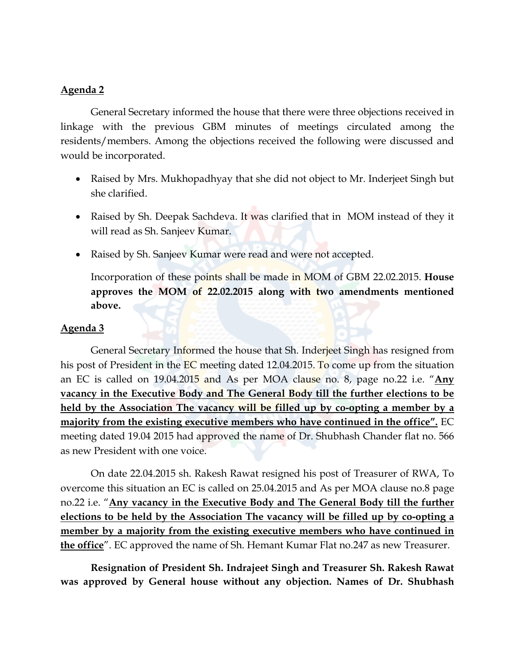### **Agenda 2**

General Secretary informed the house that there were three objections received in linkage with the previous GBM minutes of meetings circulated among the residents/members. Among the objections received the following were discussed and would be incorporated.

- Raised by Mrs. Mukhopadhyay that she did not object to Mr. Inderjeet Singh but she clarified.
- Raised by Sh. Deepak Sachdeva. It was clarified that in MOM instead of they it will read as Sh. Sanjeev Kumar.
- Raised by Sh. Sanjeev Kumar were read and were not accepted.

Incorporation of these points shall be made in MOM of GBM 22.02.2015. **House approves the MOM of 22.02.2015 along with two amendments mentioned above.**

### **Agenda 3**

General Secretary Informed the house that Sh. Inderjeet Singh has resigned from his post of President in the EC meeting dated 12.04.2015. To come up from the situation an EC is called on 19.04.2015 and As per MOA clause no. 8, page no.22 i.e. " **Any vacancy in the Executive Body and The General Body till the further elections to be held by the Association The vacancy will be filled up by co-opting a member by a majority from the existing executive members who have continued in the office".** EC meeting dated 19.04 2015 had approved the name of Dr. Shubhash Chander flat no. 566 as new President with one voice.

On date 22.04.2015 sh. Rakesh Rawat resigned his post of Treasurer of RWA, To overcome this situation an EC is called on 25.04.2015 and As per MOA clause no.8 page no.22 i.e. " **Any vacancy in the Executive Body and The General Body till the further elections to be held by the Association The vacancy will be filled up by co-opting a member by a majority from the existing executive members who have continued in the office** ". EC approved the name of Sh. Hemant Kumar Flat no.247 as new Treasurer.

**Resignation of President Sh. Indrajeet Singh and Treasurer Sh. Rakesh Rawat was approved by General house without any objection. Names of Dr. Shubhash**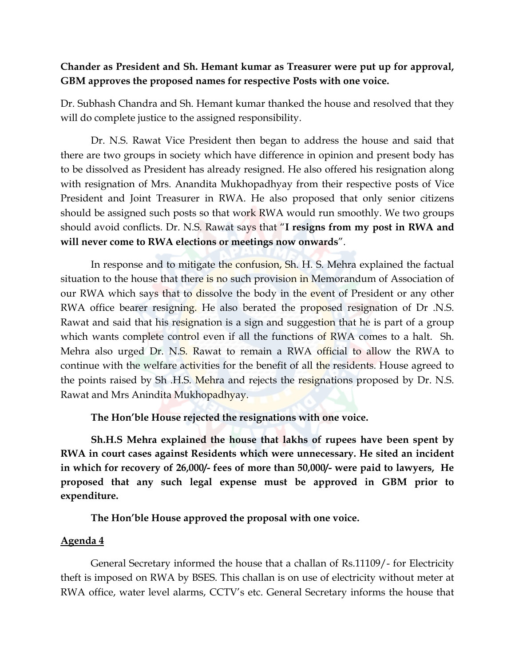## **Chander as President and Sh. Hemant kumar as Treasurer were put up for approval, GBM approves the proposed names for respective Posts with one voice.**

Dr. Subhash Chandra and Sh. Hemant kumar thanked the house and resolved that they will do complete justice to the assigned responsibility.

Dr. N.S. Rawat Vice President then began to address the house and said that there are two groups in society which have difference in opinion and present body has to be dissolved as President has already resigned. He also offered his resignation along with resignation of Mrs. Anandita Mukhopadhyay from their respective posts of Vice President and Joint Treasurer in RWA. He also proposed that only senior citizens should be assigned such posts so that work RWA would run smoothly. We two groups should avoid conflicts. Dr. N.S. Rawat says that "**I resigns from my post in RWA and will never come to RWA elections or meetings now onwards**".

In response and to mitigate the confusion, Sh. H. S. Mehra explained the factual situation to the house that there is no such provision in Memorandum of Association of our RWA which says that to dissolve the body in the event of President or any other RWA office bearer resigning. He also berated the proposed resignation of Dr .N.S. Rawat and said that his resignation is a sign and suggestion that he is part of a group which wants complete control even if all the functions of RWA comes to a halt. Sh. Mehra also urged Dr. N.S. Rawat to remain a RWA official to allow the RWA to continue with the welfare activities for the benefit of all the residents. House agreed to the points raised by Sh .H.S. Mehra and rejects the resignations proposed by Dr. N.S. Rawat and Mrs Anindita Mukhopadhyay.

**The Hon'ble House rejected the resignations with one voice.**

**Sh.H.S Mehra explained the house that lakhs of rupees have been spent by RWA in court cases against Residents which were unnecessary. He sited an incident in which for recovery of 26,000/- fees of more than 50,000/- were paid to lawyers, He proposed that any such legal expense must be approved in GBM prior to expenditure.** 

**The Hon'ble House approved the proposal with one voice.**

## **Agenda 4**

General Secretary informed the house that a challan of Rs.11109/- for Electricity theft is imposed on RWA by BSES. This challan is on use of electricity without meter at RWA office, water level alarms, CCTV's etc. General Secretary informs the house that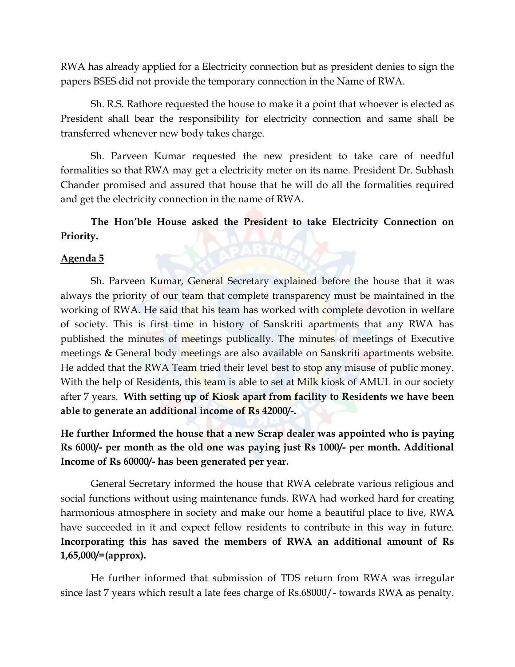RWA has already applied for a Electricity connection but as president denies to sign the papers BSES did not provide the temporary connection in the Name of RWA.

Sh. R.S. Rathore requested the house to make it a point that whoever is elected as President shall bear the responsibility for electricity connection and same shall be transferred whenever new body takes charge.

Sh. Parveen Kumar requested the new president to take care of needful formalities so that RWA may get a electricity meter on its name. President Dr. Subhash Chander promised and assured that house that he will do all the formalities required and get the electricity connection in the name of RWA.

**The Hon'ble House asked the President to take Electricity Connection on Priority.**

#### **Agenda 5**

Sh. Parveen Kumar, General Secretary explained before the house that it was always the priority of our team that complete transparency must be maintained in the working of RWA. He said that his team has worked with complete devotion in welfare of society. This is first time in history of Sanskriti apartments that any RWA has published the minutes of meetings publically. The minutes of meetings of Executive meetings & General body meetings are also available on Sanskriti apartments website. He added that the RWA Team tried their level best to stop any misuse of public money. With the help of Residents, this team is able to set at Milk kiosk of AMUL in our society after 7 years. **With setting up of Kiosk apart from facility to Residents we have been able to generate an additional income of Rs 42000/-.**

**He further Informed the house that a new Scrap dealer was appointed who is paying Rs 6000/- per month as the old one was paying just Rs 1000/- per month. Additional Income of Rs 60000/- has been generated per year.**

General Secretary informed the house that RWA celebrate various religious and social functions without using maintenance funds. RWA had worked hard for creating harmonious atmosphere in society and make our home a beautiful place to live, RWA have succeeded in it and expect fellow residents to contribute in this way in future. **Incorporating this has saved the members of RWA an additional amount of Rs 1,65,000/=(approx).**

He further informed that submission of TDS return from RWA was irregular since last 7 years which result a late fees charge of Rs.68000/- towards RWA as penalty.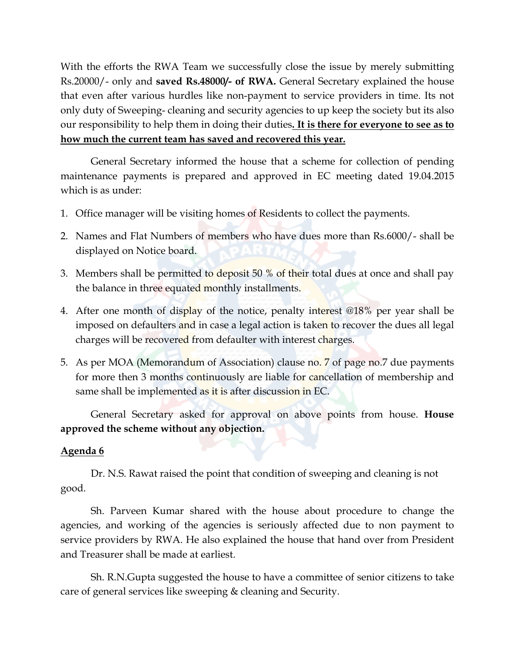With the efforts the RWA Team we successfully close the issue by merely submitting Rs.20000/- only and **saved Rs.48000/- of RWA.** General Secretary explained the house that even after various hurdles like non-payment to service providers in time. Its not only duty of Sweeping- cleaning and security agencies to up keep the society but its also our responsibility to help them in doing their duties **. It is there for everyone to see as to how much the current team has saved and recovered this year.**

General Secretary informed the house that a scheme for collection of pending maintenance payments is prepared and approved in EC meeting dated 19.04.2015 which is as under:

- 1. Office manager will be visiting homes of Residents to collect the payments.
- 2. Names and Flat Numbers of members who have dues more than Rs.6000/- shall be displayed on Notice board.
- 3. Members shall be permitted to deposit 50 % of their total dues at once and shall pay the balance in three equated monthly installments.
- 4. After one month of display of the notice, penalty interest @18% per year shall be imposed on defaulters and in case a legal action is taken to recover the dues all legal charges will be recovered from defaulter with interest charges.
- 5. As per MOA (Memorandum of Association) clause no. 7 of page no.7 due payments for more then 3 months continuously are liable for cancellation of membership and same shall be implemented as it is after discussion in EC.

General Secretary asked for approval on above points from house. **House approved the scheme without any objection.** 

## **Agenda 6**

Dr. N.S. Rawat raised the point that condition of sweeping and cleaning is not good.

Sh. Parveen Kumar shared with the house about procedure to change the agencies, and working of the agencies is seriously affected due to non payment to service providers by RWA. He also explained the house that hand over from President and Treasurer shall be made at earliest.

Sh. R.N.Gupta suggested the house to have a committee of senior citizens to take care of general services like sweeping & cleaning and Security.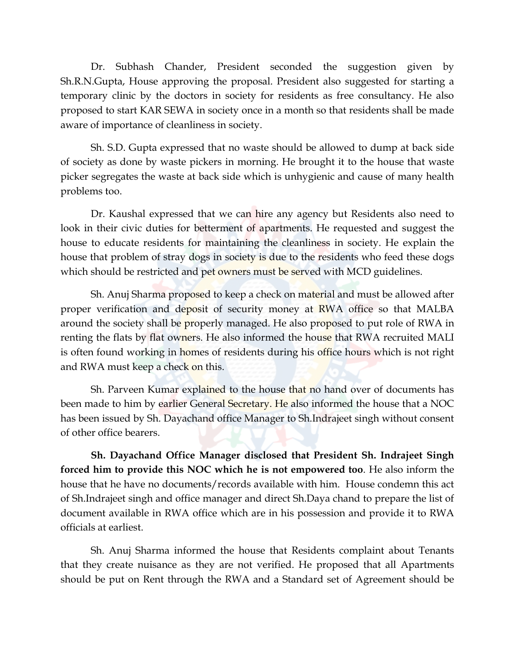Dr. Subhash Chander, President seconded the suggestion given by Sh.R.N.Gupta, House approving the proposal. President also suggested for starting a temporary clinic by the doctors in society for residents as free consultancy. He also proposed to start KAR SEWA in society once in a month so that residents shall be made aware of importance of cleanliness in society.

Sh. S.D. Gupta expressed that no waste should be allowed to dump at back side of society as done by waste pickers in morning. He brought it to the house that waste picker segregates the waste at back side which is unhygienic and cause of many health problems too.

Dr. Kaushal expressed that we can hire any agency but Residents also need to look in their civic duties for betterment of apartments. He requested and suggest the house to educate residents for maintaining the cleanliness in society. He explain the house that problem of stray dogs in society is due to the residents who feed these dogs which should be restricted and pet owners must be served with MCD guidelines.

Sh. Anuj Sharma proposed to keep a check on material and must be allowed after proper verification and deposit of security money at RWA office so that MALBA around the society shall be properly managed. He also proposed to put role of RWA in renting the flats by flat owners. He also informed the house that RWA recruited MALI is often found working in homes of residents during his office hours which is not right and RWA must keep a check on this.

Sh. Parveen Kumar explained to the house that no hand over of documents has been made to him by earlier General Secretary. He also informed the house that a NOC has been issued by Sh. Dayachand office Manager to Sh.Indrajeet singh without consent of other office bearers.

**Sh. Dayachand Office Manager disclosed that President Sh. Indrajeet Singh forced him to provide this NOC which he is not empowered too**. He also inform the house that he have no documents/records available with him. House condemn this act of Sh.Indrajeet singh and office manager and direct Sh.Daya chand to prepare the list of document available in RWA office which are in his possession and provide it to RWA officials at earliest.

Sh. Anuj Sharma informed the house that Residents complaint about Tenants that they create nuisance as they are not verified. He proposed that all Apartments should be put on Rent through the RWA and a Standard set of Agreement should be